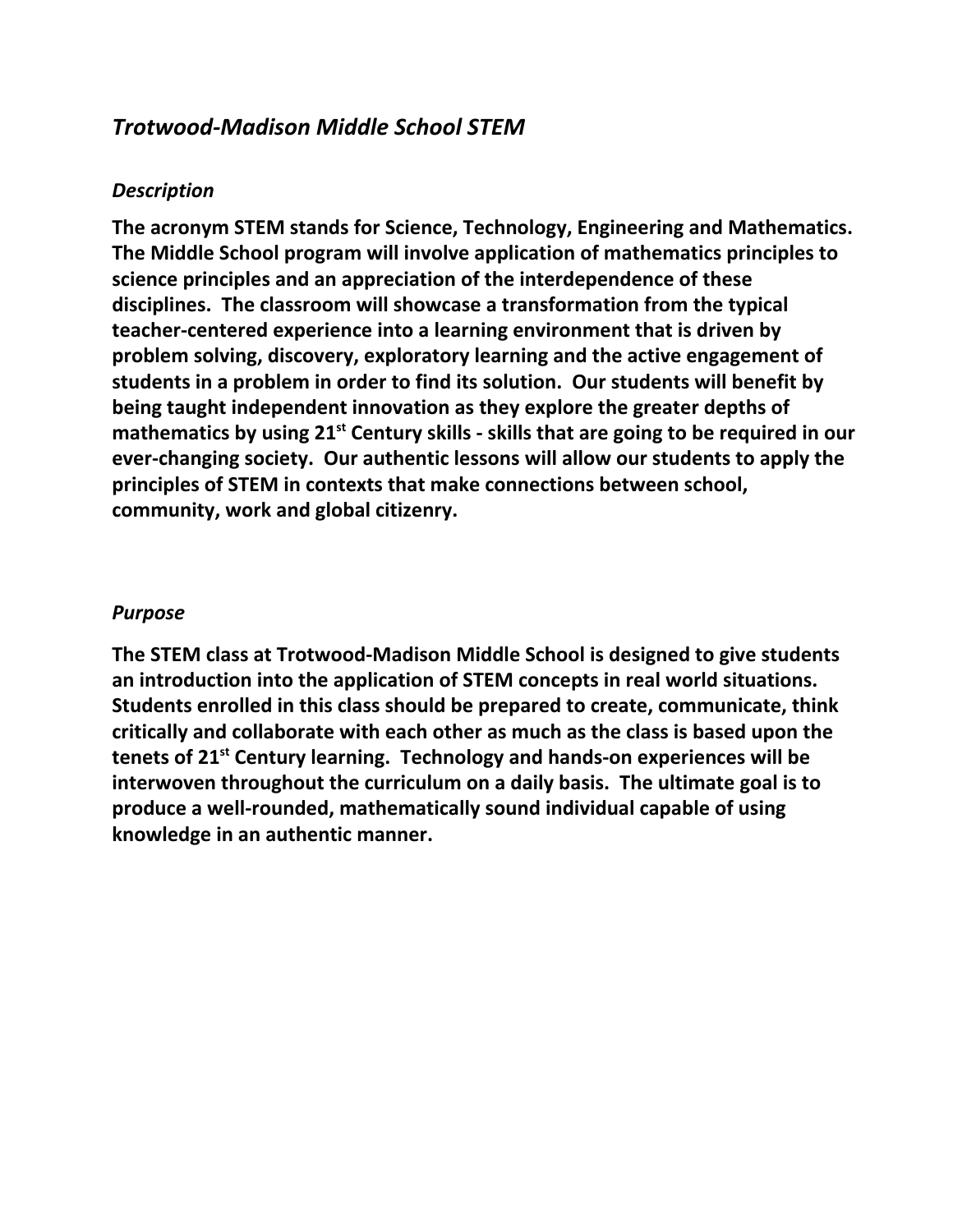# *Trotwood-Madison Middle School STEM*

# *Description*

**The acronym STEM stands for Science, Technology, Engineering and Mathematics. The Middle School program will involve application of mathematics principles to science principles and an appreciation of the interdependence of these disciplines. The classroom will showcase a transformation from the typical teacher-centered experience into a learning environment that is driven by problem solving, discovery, exploratory learning and the active engagement of students in a problem in order to find its solution. Our students will benefit by being taught independent innovation as they explore the greater depths of mathematics by using 21 st Century skills - skills that are going to be required in our ever-changing society. Our authentic lessons will allow our students to apply the principles of STEM in contexts that make connections between school, community, work and global citizenry.**

## *Purpose*

**The STEM class at Trotwood-Madison Middle School is designed to give students an introduction into the application of STEM concepts in real world situations. Students enrolled in this class should be prepared to create, communicate, think critically and collaborate with each other as much as the class is based upon the tenets of 21 st Century learning. Technology and hands-on experiences will be interwoven throughout the curriculum on a daily basis. The ultimate goal is to produce a well-rounded, mathematically sound individual capable of using knowledge in an authentic manner.**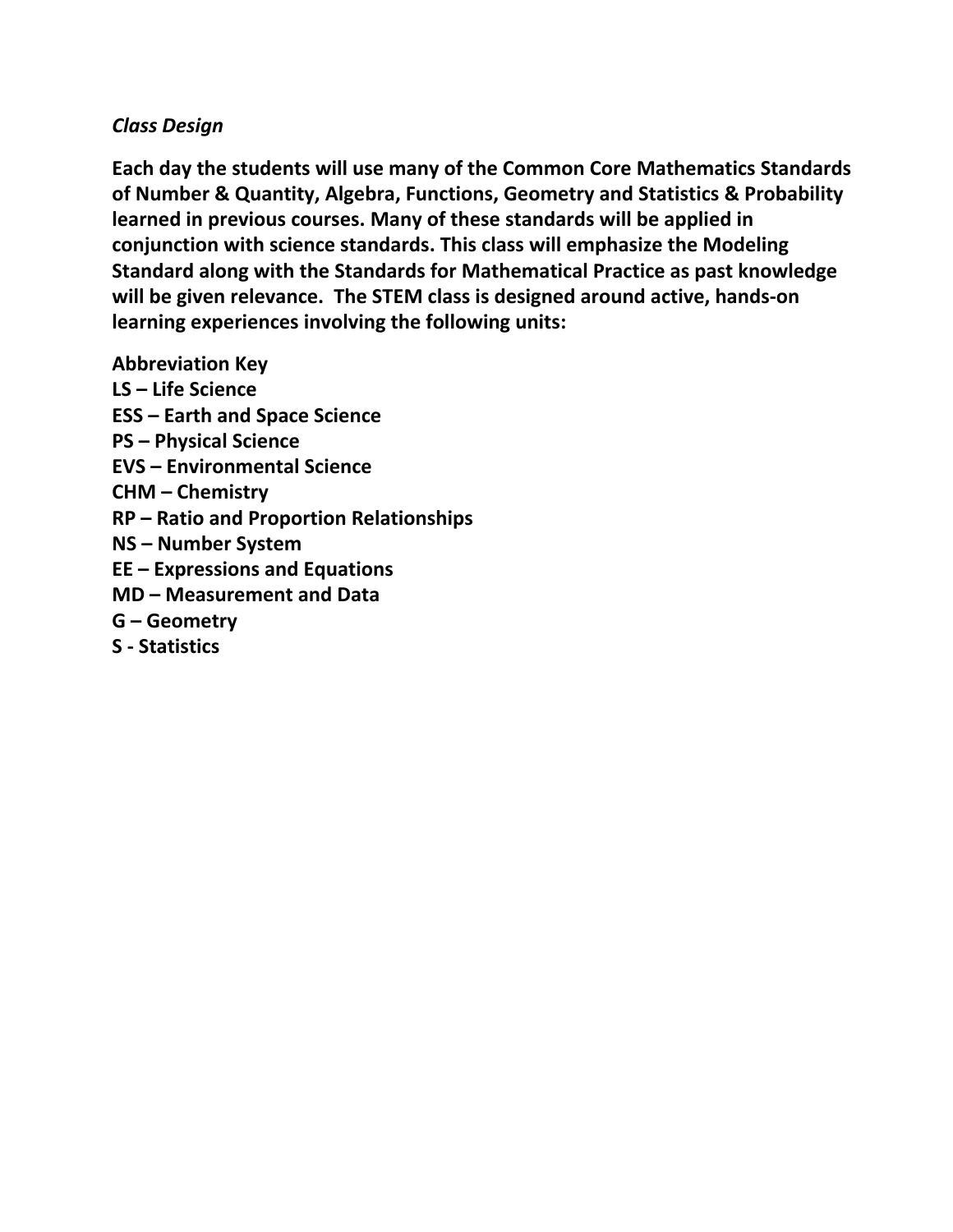#### *Class Design*

**Each day the students will use many of the Common Core Mathematics Standards of Number & Quantity, Algebra, Functions, Geometry and Statistics & Probability learned in previous courses. Many of these standards will be applied in conjunction with science standards. This class will emphasize the Modeling Standard along with the Standards for Mathematical Practice as past knowledge will be given relevance. The STEM class is designed around active, hands-on learning experiences involving the following units:**

**Abbreviation Key LS – Life Science ESS – Earth and Space Science PS – Physical Science EVS – Environmental Science CHM – Chemistry RP – Ratio and Proportion Relationships NS – Number System EE – Expressions and Equations MD – Measurement and Data G – Geometry S - Statistics**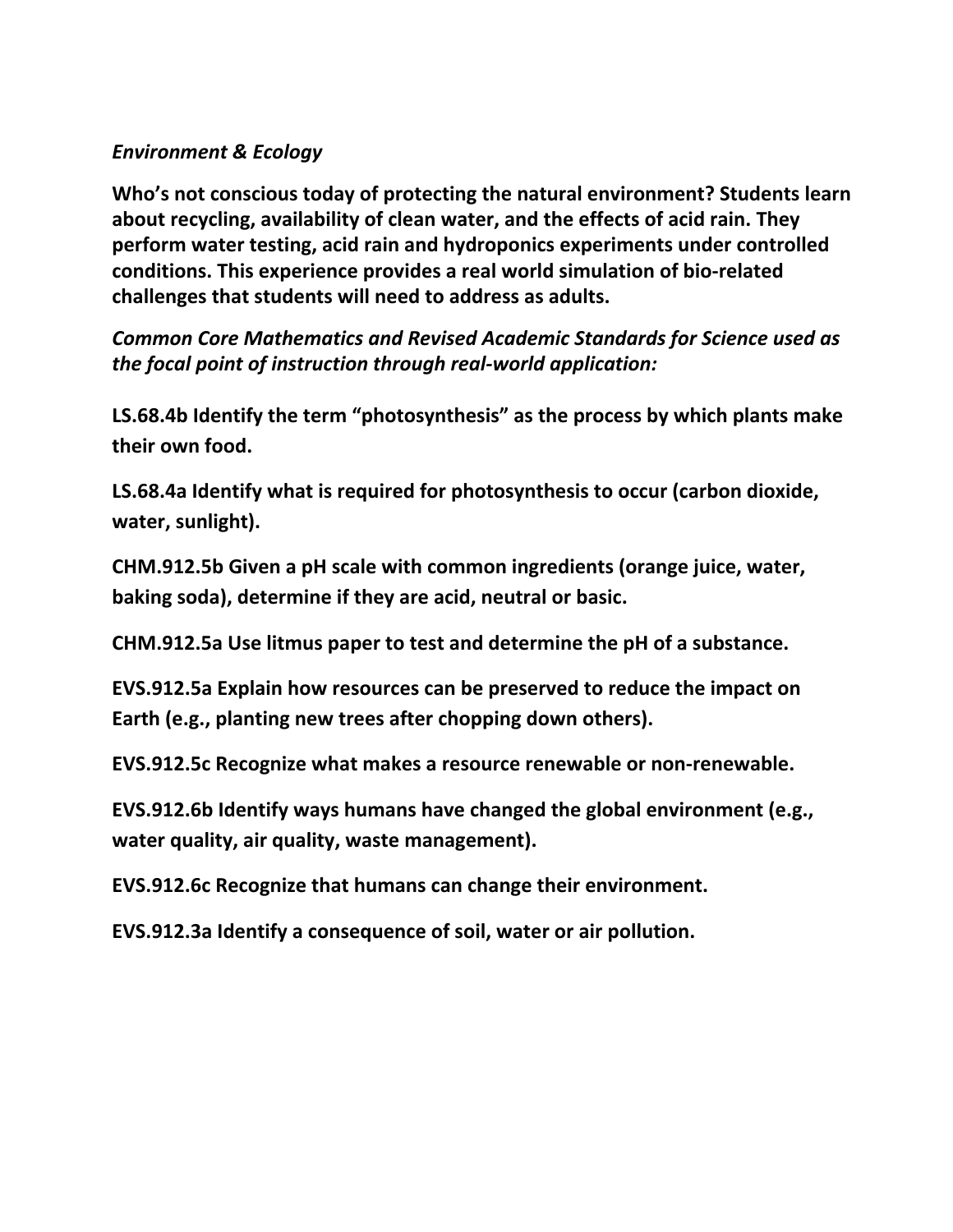# *Environment & Ecology*

**Who's not conscious today of protecting the natural environment? Students learn about recycling, availability of clean water, and the effects of acid rain. They perform water testing, acid rain and hydroponics experiments under controlled conditions. This experience provides a real world simulation of bio-related challenges that students will need to address as adults.**

*Common Core Mathematics and Revised Academic Standards for Science used as the focal point of instruction through real-world application:*

**LS.68.4b Identify the term "photosynthesis" as the process by which plants make their own food.**

**LS.68.4a Identify what is required for photosynthesis to occur (carbon dioxide, water, sunlight).**

**CHM.912.5b Given a pH scale with common ingredients (orange juice, water, baking soda), determine if they are acid, neutral or basic.**

**CHM.912.5a Use litmus paper to test and determine the pH of a substance.**

**EVS.912.5a Explain how resources can be preserved to reduce the impact on Earth (e.g., planting new trees after chopping down others).**

**EVS.912.5c Recognize what makes a resource renewable or non-renewable.**

**EVS.912.6b Identify ways humans have changed the global environment (e.g., water quality, air quality, waste management).**

**EVS.912.6c Recognize that humans can change their environment.**

**EVS.912.3a Identify a consequence of soil, water or air pollution.**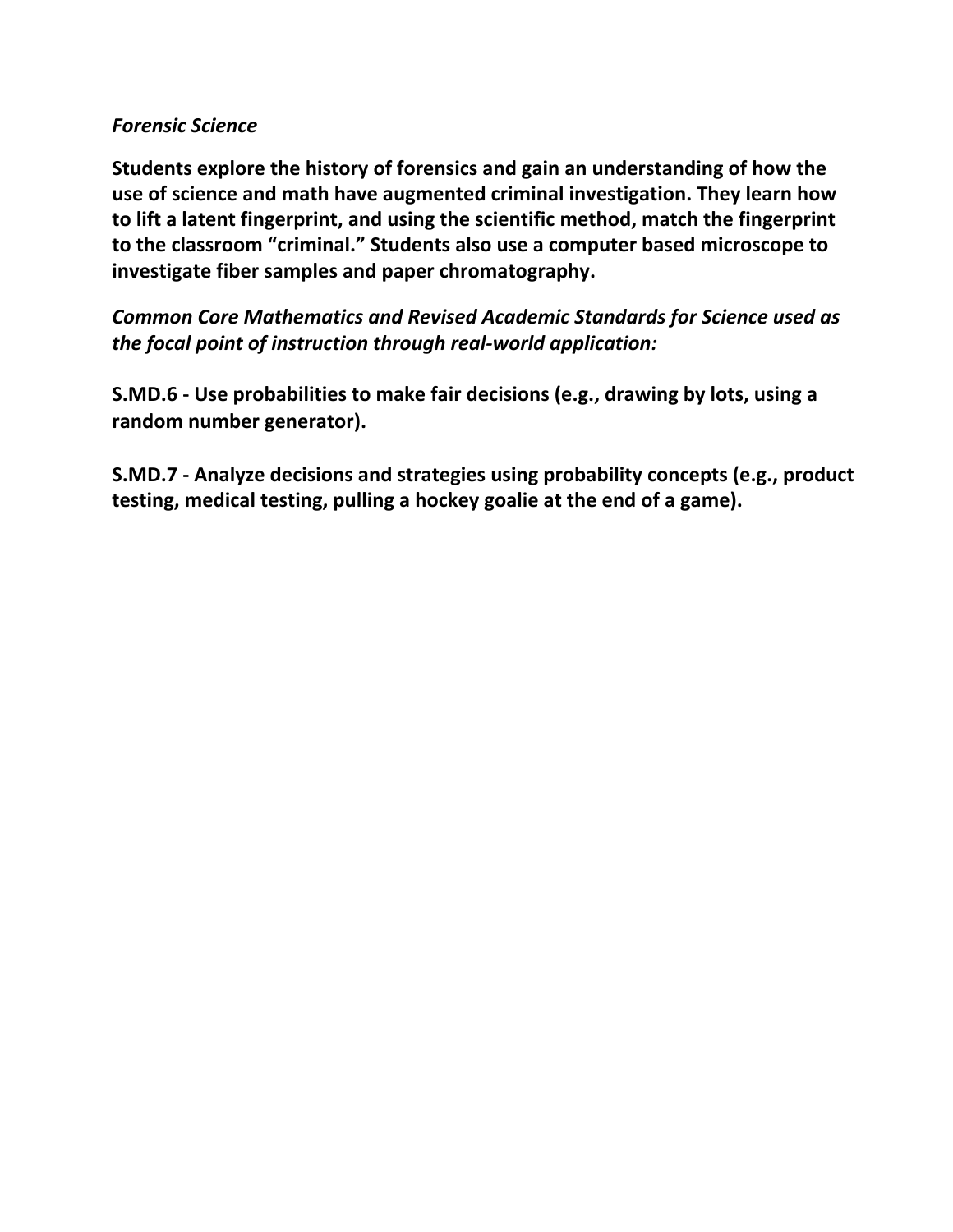#### *Forensic Science*

**Students explore the history of forensics and gain an understanding of how the use of science and math have augmented criminal investigation. They learn how to lift a latent fingerprint, and using the scientific method, match the fingerprint to the classroom "criminal." Students also use a computer based microscope to investigate fiber samples and paper chromatography.**

*Common Core Mathematics and Revised Academic Standards for Science used as the focal point of instruction through real-world application:*

**S.MD.6 - Use probabilities to make fair decisions (e.g., drawing by lots, using a random number generator).**

**S.MD.7 - Analyze decisions and strategies using probability concepts (e.g., product testing, medical testing, pulling a hockey goalie at the end of a game).**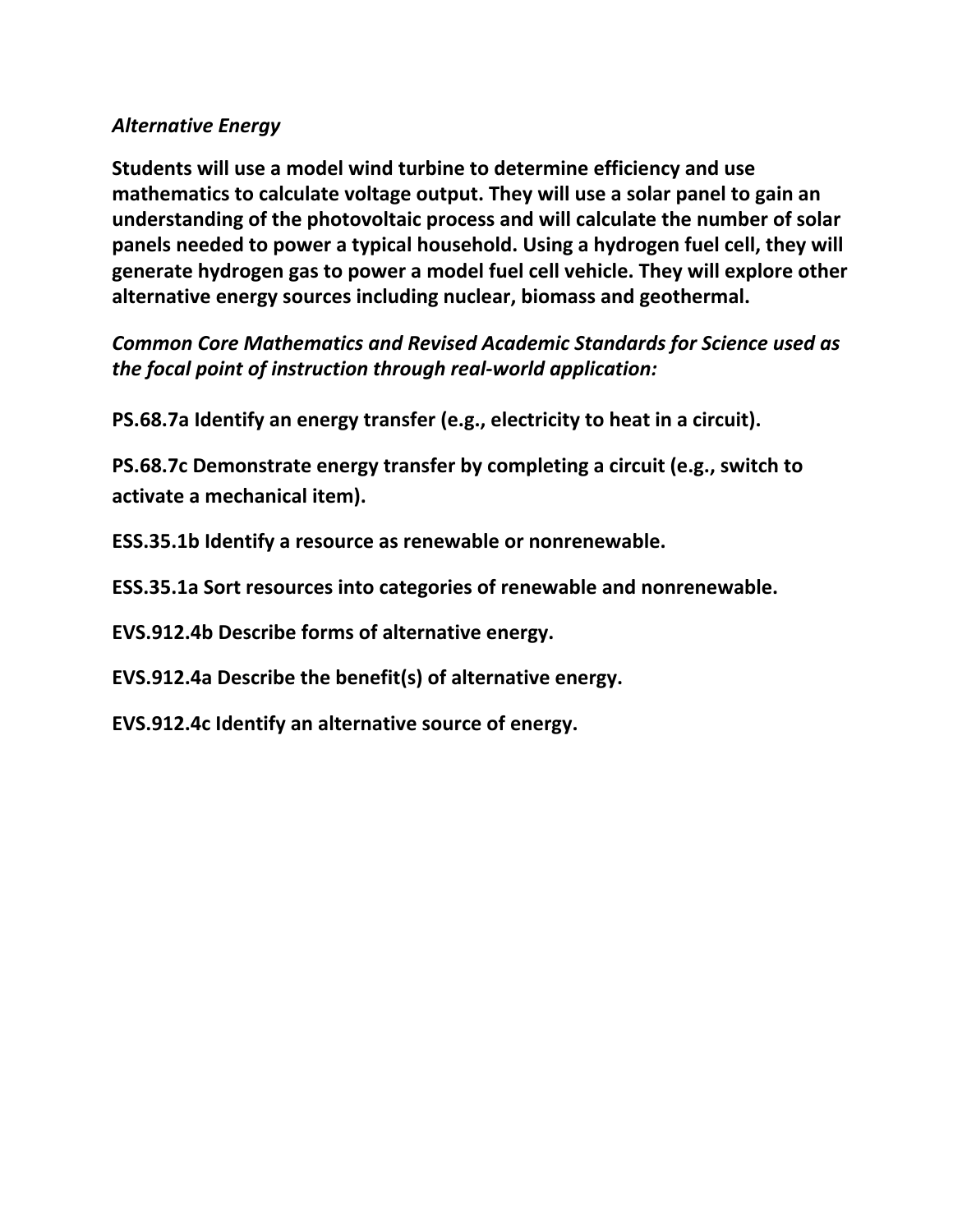# *Alternative Energy*

**Students will use a model wind turbine to determine efficiency and use mathematics to calculate voltage output. They will use a solar panel to gain an understanding of the photovoltaic process and will calculate the number of solar panels needed to power a typical household. Using a hydrogen fuel cell, they will generate hydrogen gas to power a model fuel cell vehicle. They will explore other alternative energy sources including nuclear, biomass and geothermal.**

*Common Core Mathematics and Revised Academic Standards for Science used as the focal point of instruction through real-world application:*

**PS.68.7a Identify an energy transfer (e.g., electricity to heat in a circuit).**

**PS.68.7c Demonstrate energy transfer by completing a circuit (e.g., switch to activate a mechanical item).**

**ESS.35.1b Identify a resource as renewable or nonrenewable.**

**ESS.35.1a Sort resources into categories of renewable and nonrenewable.**

**EVS.912.4b Describe forms of alternative energy.**

**EVS.912.4a Describe the benefit(s) of alternative energy.**

**EVS.912.4c Identify an alternative source of energy.**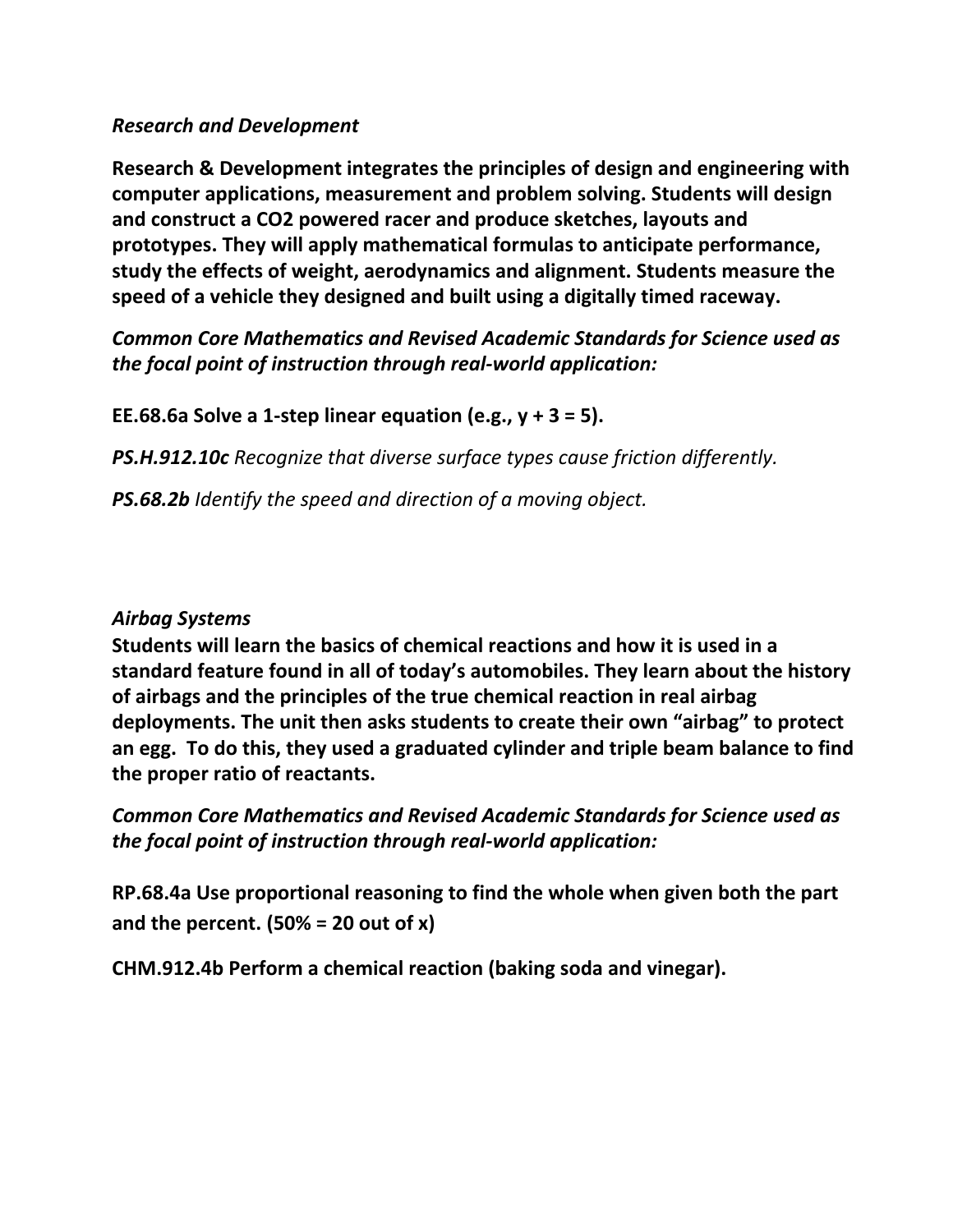#### *Research and Development*

**Research & Development integrates the principles of design and engineering with computer applications, measurement and problem solving. Students will design and construct a CO2 powered racer and produce sketches, layouts and prototypes. They will apply mathematical formulas to anticipate performance, study the effects of weight, aerodynamics and alignment. Students measure the speed of a vehicle they designed and built using a digitally timed raceway.**

*Common Core Mathematics and Revised Academic Standards for Science used as the focal point of instruction through real-world application:*

**EE.68.6a Solve a 1-step linear equation (e.g., y + 3 = 5).**

*PS.H.912.10c Recognize that diverse surface types cause friction differently.*

*PS.68.2b Identify the speed and direction of a moving object.*

# *Airbag Systems*

**Students will learn the basics of chemical reactions and how it is used in a standard feature found in all of today's automobiles. They learn about the history of airbags and the principles of the true chemical reaction in real airbag deployments. The unit then asks students to create their own "airbag" to protect an egg. To do this, they used a graduated cylinder and triple beam balance to find the proper ratio of reactants.**

*Common Core Mathematics and Revised Academic Standards for Science used as the focal point of instruction through real-world application:*

**RP.68.4a Use proportional reasoning to find the whole when given both the part and the percent. (50% = 20 out of x)**

**CHM.912.4b Perform a chemical reaction (baking soda and vinegar).**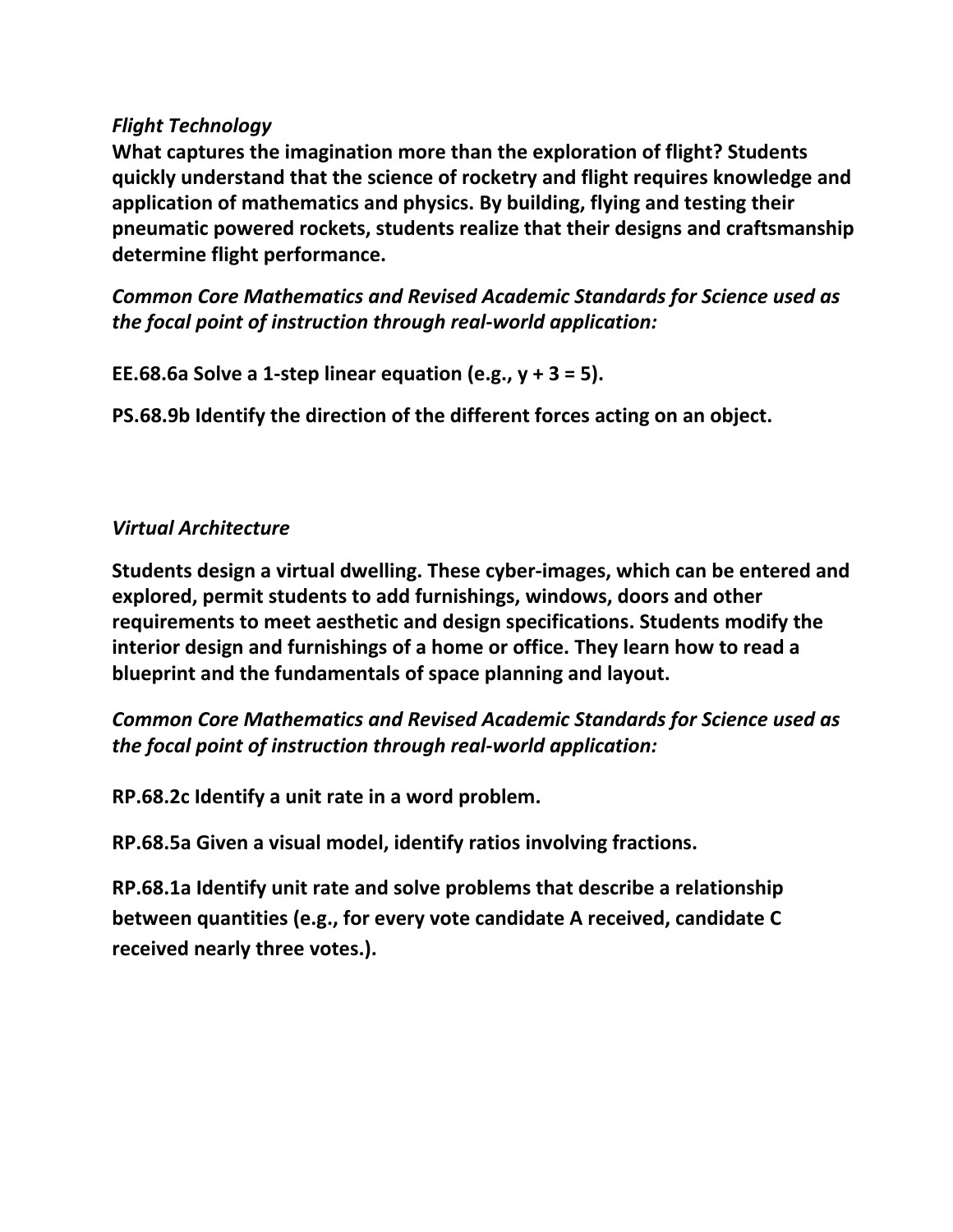# *Flight Technology*

**What captures the imagination more than the exploration of flight? Students quickly understand that the science of rocketry and flight requires knowledge and application of mathematics and physics. By building, flying and testing their pneumatic powered rockets, students realize that their designs and craftsmanship determine flight performance.**

*Common Core Mathematics and Revised Academic Standards for Science used as the focal point of instruction through real-world application:*

**EE.68.6a Solve a 1-step linear equation (e.g., y + 3 = 5).**

**PS.68.9b Identify the direction of the different forces acting on an object.**

# *Virtual Architecture*

**Students design a virtual dwelling. These cyber-images, which can be entered and explored, permit students to add furnishings, windows, doors and other requirements to meet aesthetic and design specifications. Students modify the interior design and furnishings of a home or office. They learn how to read a blueprint and the fundamentals of space planning and layout.**

*Common Core Mathematics and Revised Academic Standards for Science used as the focal point of instruction through real-world application:*

**RP.68.2c Identify a unit rate in a word problem.**

**RP.68.5a Given a visual model, identify ratios involving fractions.**

**RP.68.1a Identify unit rate and solve problems that describe a relationship between quantities (e.g., for every vote candidate A received, candidate C received nearly three votes.).**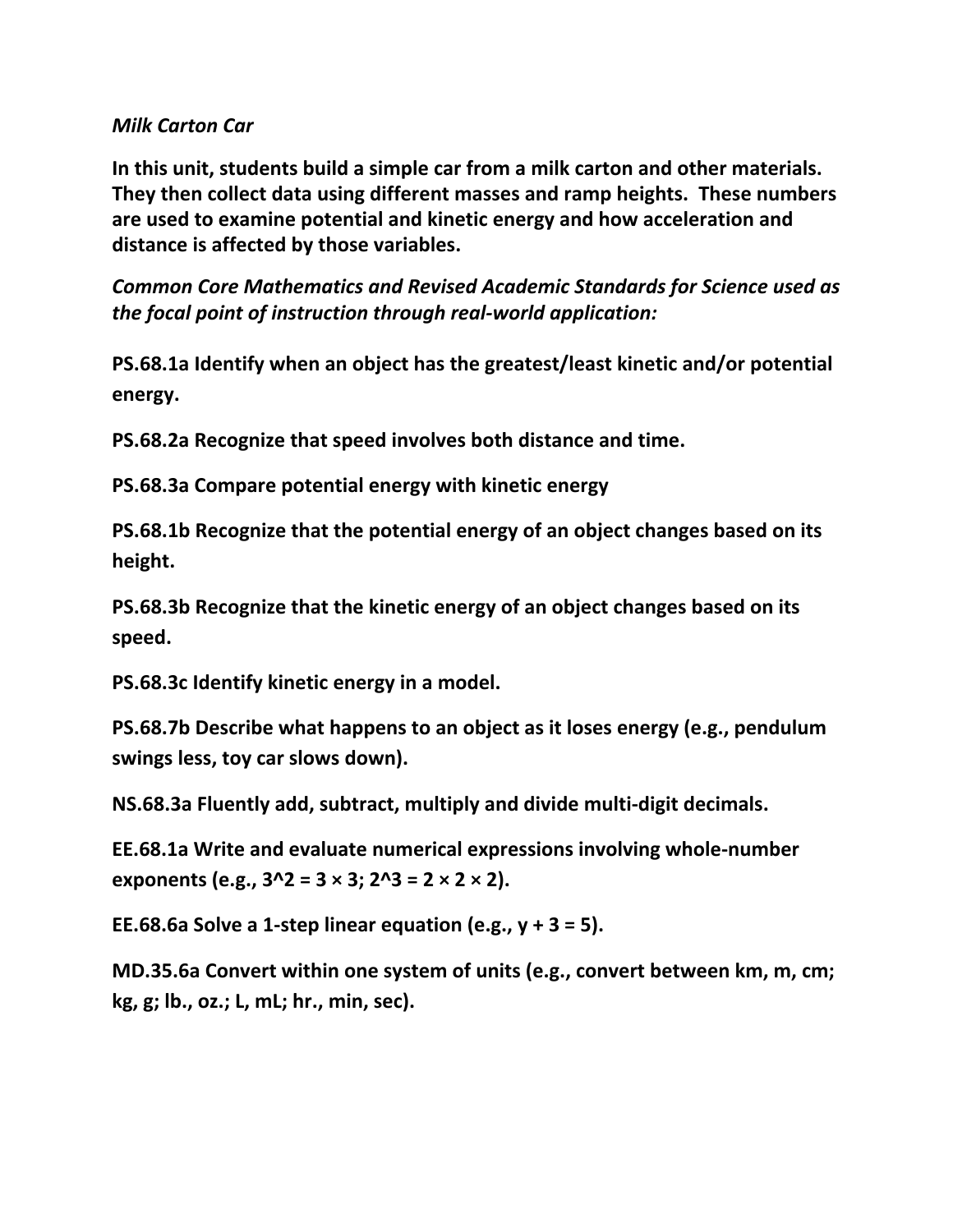#### *Milk Carton Car*

**In this unit, students build a simple car from a milk carton and other materials. They then collect data using different masses and ramp heights. These numbers are used to examine potential and kinetic energy and how acceleration and distance is affected by those variables.**

*Common Core Mathematics and Revised Academic Standards for Science used as the focal point of instruction through real-world application:*

**PS.68.1a Identify when an object has the greatest/least kinetic and/or potential energy.**

**PS.68.2a Recognize that speed involves both distance and time.**

**PS.68.3a Compare potential energy with kinetic energy**

**PS.68.1b Recognize that the potential energy of an object changes based on its height.**

**PS.68.3b Recognize that the kinetic energy of an object changes based on its speed.**

**PS.68.3c Identify kinetic energy in a model.**

**PS.68.7b Describe what happens to an object as it loses energy (e.g., pendulum swings less, toy car slows down).**

**NS.68.3a Fluently add, subtract, multiply and divide multi-digit decimals.**

**EE.68.1a Write and evaluate numerical expressions involving whole-number exponents (e.g., 3^2 = 3 × 3; 2^3 = 2 × 2 × 2).**

**EE.68.6a Solve a 1-step linear equation (e.g., y + 3 = 5).**

**MD.35.6a Convert within one system of units (e.g., convert between km, m, cm; kg, g; lb., oz.; L, mL; hr., min, sec).**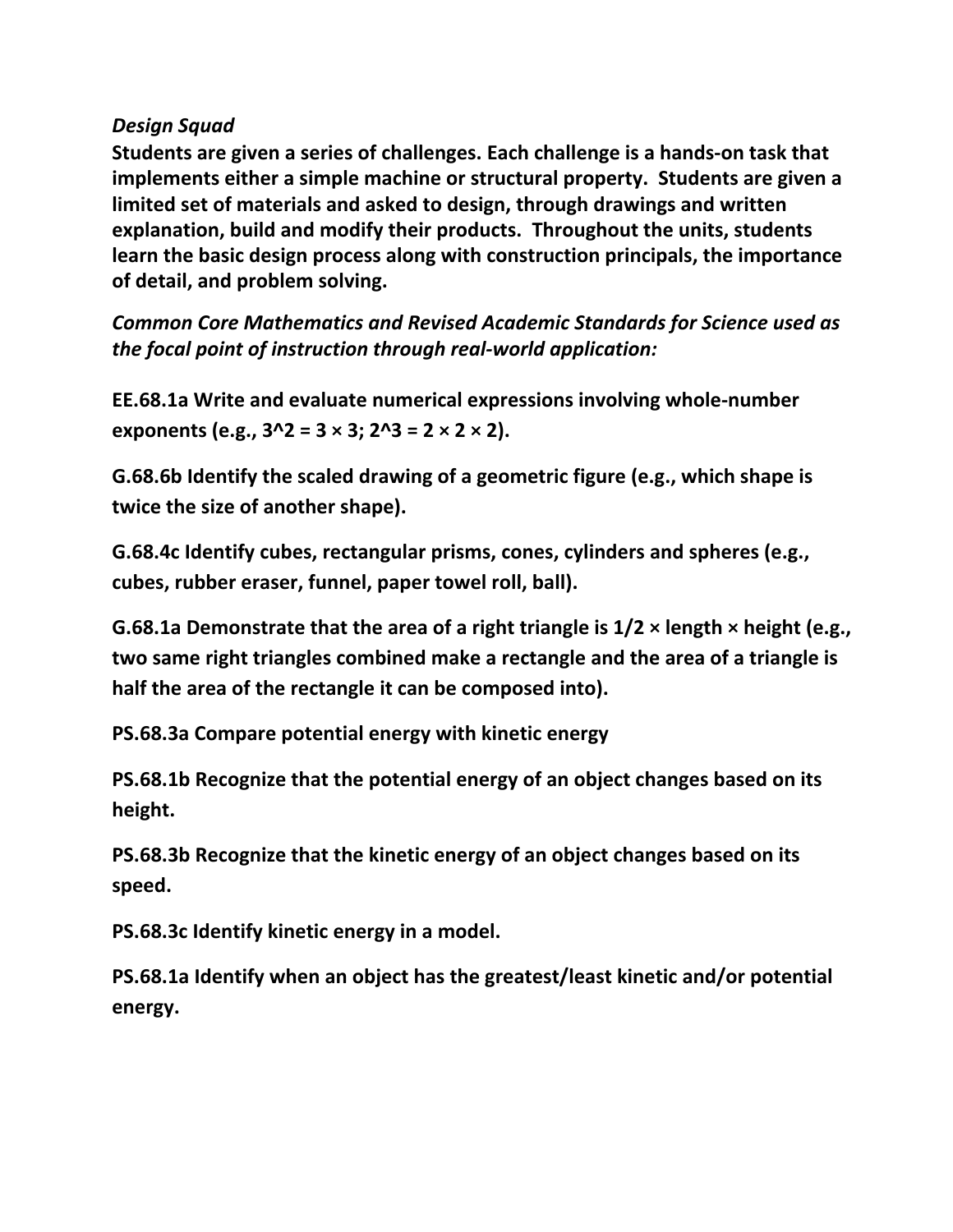# *Design Squad*

**Students are given a series of challenges. Each challenge is a hands-on task that implements either a simple machine or structural property. Students are given a limited set of materials and asked to design, through drawings and written explanation, build and modify their products. Throughout the units, students learn the basic design process along with construction principals, the importance of detail, and problem solving.**

*Common Core Mathematics and Revised Academic Standards for Science used as the focal point of instruction through real-world application:*

**EE.68.1a Write and evaluate numerical expressions involving whole-number exponents (e.g., 3^2 = 3 × 3; 2^3 = 2 × 2 × 2).**

**G.68.6b Identify the scaled drawing of a geometric figure (e.g., which shape is twice the size of another shape).**

**G.68.4c Identify cubes, rectangular prisms, cones, cylinders and spheres (e.g., cubes, rubber eraser, funnel, paper towel roll, ball).**

**G.68.1a Demonstrate that the area of a right triangle is 1/2 × length × height (e.g., two same right triangles combined make a rectangle and the area of a triangle is half the area of the rectangle it can be composed into).**

**PS.68.3a Compare potential energy with kinetic energy**

**PS.68.1b Recognize that the potential energy of an object changes based on its height.**

**PS.68.3b Recognize that the kinetic energy of an object changes based on its speed.**

**PS.68.3c Identify kinetic energy in a model.**

**PS.68.1a Identify when an object has the greatest/least kinetic and/or potential energy.**